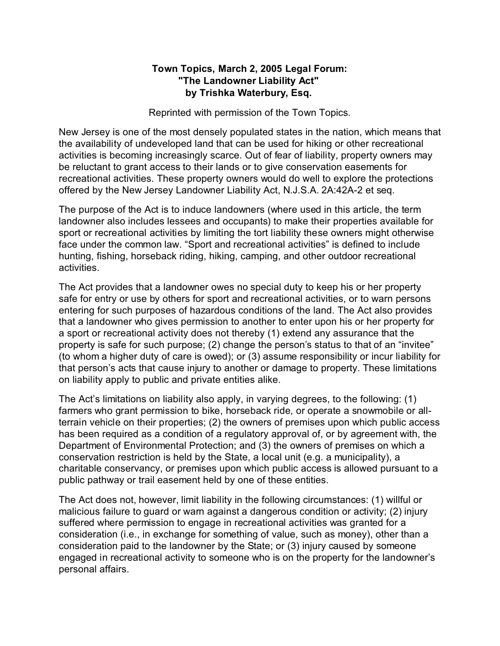## **Town Topics, March 2, 2005 Legal Forum: "The Landowner Liability Act" by Trishka Waterbury, Esq.**

Reprinted with permission of the Town Topics.

New Jersey is one of the most densely populated states in the nation, which means that the availability of undeveloped land that can be used for hiking or other recreational activities is becoming increasingly scarce. Out of fear of liability, property owners may be reluctant to grant access to their lands or to give conservation easements for recreational activities. These property owners would do well to explore the protections offered by the New Jersey Landowner Liability Act, N.J.S.A. 2A:42A-2 et seq.

The purpose of the Act is to induce landowners (where used in this article, the term landowner also includes lessees and occupants) to make their properties available for sport or recreational activities by limiting the tort liability these owners might otherwise face under the common law. "Sport and recreational activities" is defined to include hunting, fishing, horseback riding, hiking, camping, and other outdoor recreational activities.

The Act provides that a landowner owes no special duty to keep his or her property safe for entry or use by others for sport and recreational activities, or to warn persons entering for such purposes of hazardous conditions of the land. The Act also provides that a landowner who gives permission to another to enter upon his or her property for a sport or recreational activity does not thereby (1) extend any assurance that the property is safe for such purpose; (2) change the person's status to that of an "invitee" (to whom a higher duty of care is owed); or (3) assume responsibility or incur liability for that person's acts that cause injury to another or damage to property. These limitations on liability apply to public and private entities alike.

The Act's limitations on liability also apply, in varying degrees, to the following: (1) farmers who grant permission to bike, horseback ride, or operate a snowmobile or allterrain vehicle on their properties; (2) the owners of premises upon which public access has been required as a condition of a regulatory approval of, or by agreement with, the Department of Environmental Protection; and (3) the owners of premises on which a conservation restriction is held by the State, a local unit (e.g. a municipality), a charitable conservancy, or premises upon which public access is allowed pursuant to a public pathway or trail easement held by one of these entities.

The Act does not, however, limit liability in the following circumstances: (1) willful or malicious failure to guard or warn against a dangerous condition or activity; (2) injury suffered where permission to engage in recreational activities was granted for a consideration (i.e., in exchange for something of value, such as money), other than a consideration paid to the landowner by the State; or (3) injury caused by someone engaged in recreational activity to someone who is on the property for the landowner's personal affairs.